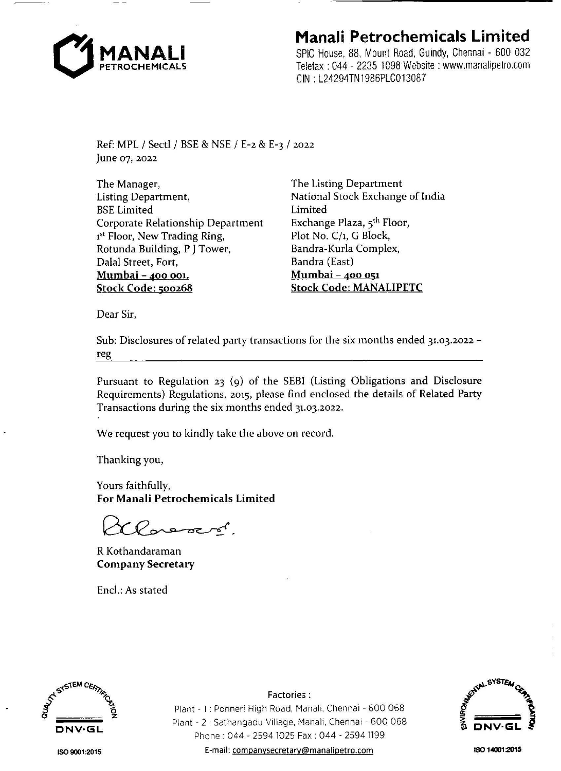

## **Manali Petrochemicals Limited**

SPIC House, 88, Mount Road, Guindy, Chennai - 600 032 Telefax : 044 - 2235 1098 Website: www.manalipetro.com CIN : L24294TN1986PLC013087

Ref: MPL / Sectl / BSE & NSE / E-2 & E-3 / 2022 June 07, 2022

The Manager, Listing Department, BSE Limited Corporate Relationship Department 1 st Floor, New Trading Ring, Rotunda Building, P J Tower, Dalal Street, Fort, **Mumbai -400 001. Stock Code: 500268** 

The Listing Department National Stock Exchange of India Limited Exchange Plaza, 5<sup>th</sup> Floor, Plot No. C/1, G Block, Bandra-Kurla Complex, Bandra (East) **Mumbai** - **400 051 Stock Code: MANALIPETC** 

Dear Sir,

Sub: Disclosures of related party transactions for the six months ended 31.03.2022 reg

Pursuant to Regulation 23 (9) of the SEBI (Listing Obligations and Disclosure Requirements) Regulations, 2015, please find enclosed the details of Related Party Transactions during the six months ended 31.03.2022.

We request you to kindly take the above on record.

Thanking you,

Yours faithfully, **For Manali Petrochemicals Limited** 

Porecol

R Kothandaraman **Company Secretary** 

Encl.: As stated



Plant - l : Ponneri High Road, Manali, Chennai - 600 068 Plant - 2 : Sathangadu Village, Manali, Chennai - 600 068 Phone : 044 - 2594 1025 Fax : 044 - 2594 1199 E-mail: companysecretary@manalipetro.com

Factories:



ISO **9001 :2015** 

ISO **14001:2015**